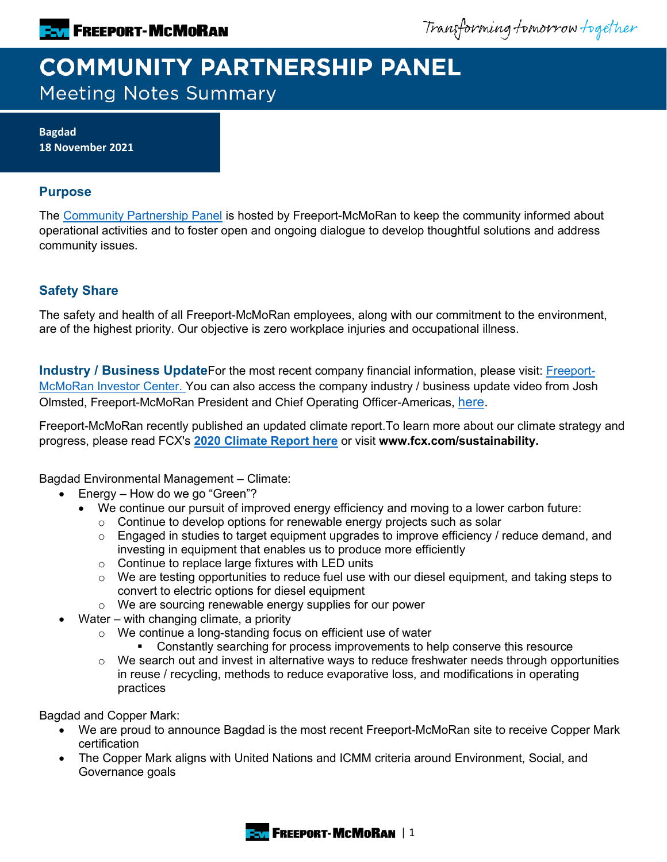

Transforming tomorrow together

# **COMMUNITY PARTNERSHIP PANEL Meeting Notes Summary**

**Bagdad 18 November 2021**

### **Purpose**

The [Community Partnership Panel](https://www.freeportinmycommunity.com/stakeholders/stakeholder-engagement-) is hosted by Freeport-McMoRan to keep the community informed about operational activities and to foster open and ongoing dialogue to develop thoughtful solutions and address community issues.

## **Safety Share**

The safety and health of all Freeport-McMoRan employees, along with our commitment to the environment, are of the highest priority. Our objective is zero workplace injuries and occupational illness.

**Industry / Business Update**For the most recent company financial information, please visit: **Freeport-**[McMoRan Investor Center.](http://investors.fcx.com/investors/default.aspx) You can also access the company industry / business update video from Josh Olmsted, Freeport-McMoRan President and Chief Operating Officer-Americas, [here.](https://youtu.be/cCXXaE3grIo)

Freeport-McMoRan recently published an updated climate report.To learn more about our climate strategy and progress, please read FCX's **[2020 Climate Report here](https://www.fcx.com/sites/fcx/files/documents/sustainability/2020-Climate-Report.pdf)** or visit **www.fcx.com/sustainability.**

Bagdad Environmental Management – Climate:

- Energy How do we go "Green"?
	- We continue our pursuit of improved energy efficiency and moving to a lower carbon future:
		- o Continue to develop options for renewable energy projects such as solar
		- o Engaged in studies to target equipment upgrades to improve efficiency / reduce demand, and investing in equipment that enables us to produce more efficiently
		- o Continue to replace large fixtures with LED units
		- $\circ$  We are testing opportunities to reduce fuel use with our diesel equipment, and taking steps to convert to electric options for diesel equipment
		- o We are sourcing renewable energy supplies for our power
- Water with changing climate, a priority
	- o We continue a long-standing focus on efficient use of water
		- **Constantly searching for process improvements to help conserve this resource**
	- $\circ$  We search out and invest in alternative ways to reduce freshwater needs through opportunities in reuse / recycling, methods to reduce evaporative loss, and modifications in operating practices

Bagdad and Copper Mark:

- We are proud to announce Bagdad is the most recent Freeport-McMoRan site to receive Copper Mark certification
- The Copper Mark aligns with United Nations and ICMM criteria around Environment, Social, and Governance goals